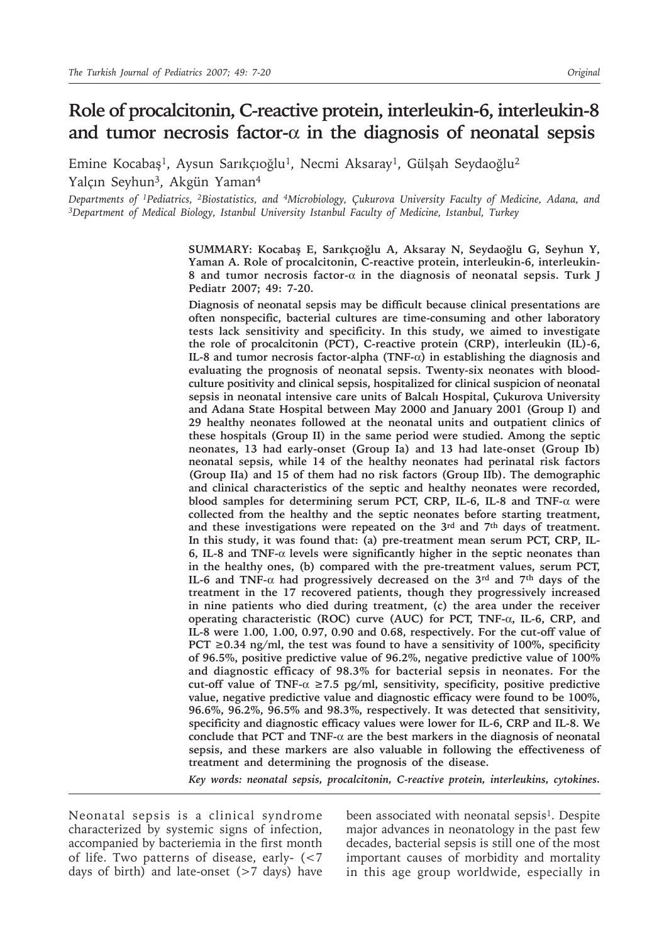# **Role of procalcitonin, C-reactive protein, interleukin-6, interleukin-8 and tumor necrosis factor-**α **in the diagnosis of neonatal sepsis**

Emine Kocabaş<sup>1</sup>, Aysun Sarıkçıoğlu<sup>1</sup>, Necmi Aksaray<sup>1</sup>, Gülşah Seydaoğlu<sup>2</sup> Yalçın Seyhun<sup>3</sup>, Akgün Yaman<sup>4</sup>

*Departments of 1Pediatrics, 2Biostatistics, and 4Microbiology, Çukurova University Faculty of Medicine, Adana, and 3Department of Medical Biology, Istanbul University Istanbul Faculty of Medicine, Istanbul, Turkey*

> **SUMMARY: Kocabaş E, Sarıkçıoğlu A, Aksaray N, Seydaoğlu G, Seyhun Y, Yaman A. Role of procalcitonin, C-reactive protein, interleukin-6, interleukin-8 and tumor necrosis factor-**α **in the diagnosis of neonatal sepsis. Turk J Pediatr 2007; 49: 7-20.**

> **Diagnosis of neonatal sepsis may be difficult because clinical presentations are often nonspecific, bacterial cultures are time-consuming and other laboratory tests lack sensitivity and specificity. In this study, we aimed to investigate the role of procalcitonin (PCT), C-reactive protein (CRP), interleukin (IL)-6, IL-8 and tumor necrosis factor-alpha (TNF-**α**) in establishing the diagnosis and evaluating the prognosis of neonatal sepsis. Twenty-six neonates with bloodculture positivity and clinical sepsis, hospitalized for clinical suspicion of neonatal sepsis in neonatal intensive care units of Balcalı Hospital, Çukurova University and Adana State Hospital between May 2000 and January 2001 (Group I) and 29 healthy neonates followed at the neonatal units and outpatient clinics of these hospitals (Group II) in the same period were studied. Among the septic neonates, 13 had early-onset (Group Ia) and 13 had late-onset (Group Ib) neonatal sepsis, while 14 of the healthy neonates had perinatal risk factors (Group IIa) and 15 of them had no risk factors (Group IIb). The demographic and clinical characteristics of the septic and healthy neonates were recorded, blood samples for determining serum PCT, CRP, IL-6, IL-8 and TNF-**α **were collected from the healthy and the septic neonates before starting treatment, and these investigations were repeated on the 3rd and 7th days of treatment. In this study, it was found that: (a) pre-treatment mean serum PCT, CRP, IL-6, IL-8 and TNF-**α **levels were significantly higher in the septic neonates than in the healthy ones, (b) compared with the pre-treatment values, serum PCT, IL-6 and TNF-**α **had progressively decreased on the 3rd and 7th days of the treatment in the 17 recovered patients, though they progressively increased in nine patients who died during treatment, (c) the area under the receiver operating characteristic (ROC) curve (AUC) for PCT, TNF-**α**, IL-6, CRP, and IL-8 were 1.00, 1.00, 0.97, 0.90 and 0.68, respectively. For the cut-off value of PCT** ≥0.34 ng/ml, the test was found to have a sensitivity of 100%, specificity **of 96.5%, positive predictive value of 96.2%, negative predictive value of 100% and diagnostic efficacy of 98.3% for bacterial sepsis in neonates. For the cut-off value of TNF-**α **≥7.5 pg/ml, sensitivity, specificity, positive predictive value, negative predictive value and diagnostic efficacy were found to be 100%, 96.6%, 96.2%, 96.5% and 98.3%, respectively. It was detected that sensitivity, specificity and diagnostic efficacy values were lower for IL-6, CRP and IL-8. We conclude that PCT and TNF-**α **are the best markers in the diagnosis of neonatal sepsis, and these markers are also valuable in following the effectiveness of treatment and determining the prognosis of the disease.**

> *Key words: neonatal sepsis, procalcitonin, C-reactive protein, interleukins, cytokines.*

Neonatal sepsis is a clinical syndrome characterized by systemic signs of infection, accompanied by bacteriemia in the first month of life. Two patterns of disease, early- (<7 days of birth) and late-onset (>7 days) have

been associated with neonatal sepsis<sup>1</sup>. Despite major advances in neonatology in the past few decades, bacterial sepsis is still one of the most important causes of morbidity and mortality in this age group worldwide, especially in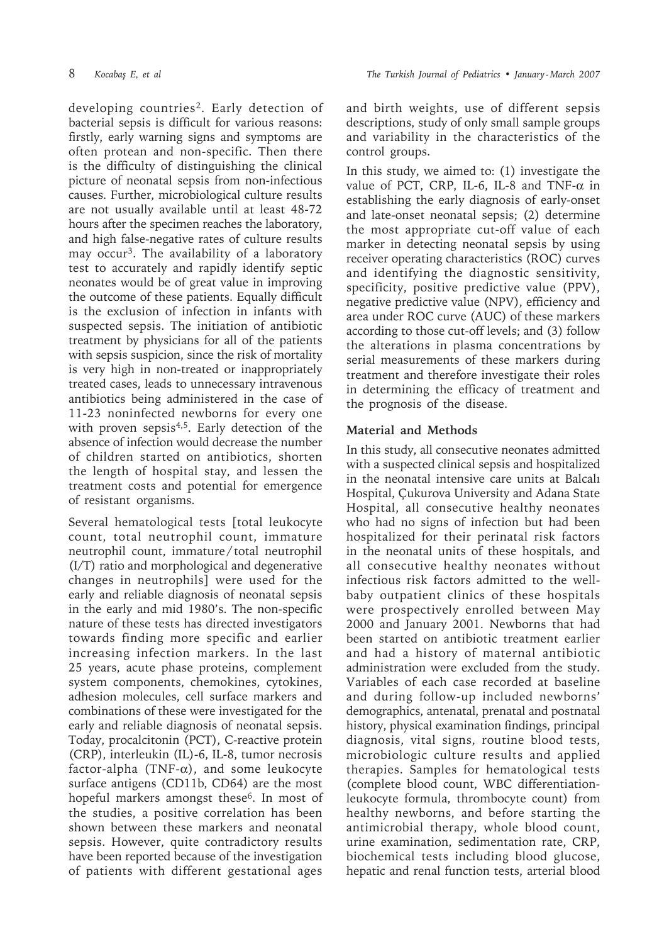developing countries2. Early detection of bacterial sepsis is difficult for various reasons: firstly, early warning signs and symptoms are often protean and non-specific. Then there is the difficulty of distinguishing the clinical picture of neonatal sepsis from non-infectious causes. Further, microbiological culture results are not usually available until at least 48-72 hours after the specimen reaches the laboratory, and high false-negative rates of culture results may occur<sup>3</sup>. The availability of a laboratory test to accurately and rapidly identify septic neonates would be of great value in improving the outcome of these patients. Equally difficult is the exclusion of infection in infants with suspected sepsis. The initiation of antibiotic treatment by physicians for all of the patients with sepsis suspicion, since the risk of mortality is very high in non-treated or inappropriately treated cases, leads to unnecessary intravenous antibiotics being administered in the case of 11-23 noninfected newborns for every one with proven sepsis<sup>4,5</sup>. Early detection of the absence of infection would decrease the number of children started on antibiotics, shorten the length of hospital stay, and lessen the treatment costs and potential for emergence of resistant organisms.

Several hematological tests [total leukocyte count, total neutrophil count, immature neutrophil count, immature / total neutrophil (I/T) ratio and morphological and degenerative changes in neutrophils] were used for the early and reliable diagnosis of neonatal sepsis in the early and mid 1980's. The non-specific nature of these tests has directed investigators towards finding more specific and earlier increasing infection markers. In the last 25 years, acute phase proteins, complement system components, chemokines, cytokines, adhesion molecules, cell surface markers and combinations of these were investigated for the early and reliable diagnosis of neonatal sepsis. Today, procalcitonin (PCT), C-reactive protein (CRP), interleukin (IL)-6, IL-8, tumor necrosis factor-alpha (TNF- $\alpha$ ), and some leukocyte surface antigens (CD11b, CD64) are the most hopeful markers amongst these<sup>6</sup>. In most of the studies, a positive correlation has been shown between these markers and neonatal sepsis. However, quite contradictory results have been reported because of the investigation of patients with different gestational ages

and birth weights, use of different sepsis descriptions, study of only small sample groups and variability in the characteristics of the control groups.

In this study, we aimed to: (1) investigate the value of PCT, CRP, IL-6, IL-8 and TNF- $\alpha$  in establishing the early diagnosis of early-onset and late-onset neonatal sepsis; (2) determine the most appropriate cut-off value of each marker in detecting neonatal sepsis by using receiver operating characteristics (ROC) curves and identifying the diagnostic sensitivity, specificity, positive predictive value (PPV), negative predictive value (NPV), efficiency and area under ROC curve (AUC) of these markers according to those cut-off levels; and (3) follow the alterations in plasma concentrations by serial measurements of these markers during treatment and therefore investigate their roles in determining the efficacy of treatment and the prognosis of the disease.

# **Material and Methods**

In this study, all consecutive neonates admitted with a suspected clinical sepsis and hospitalized in the neonatal intensive care units at Balcalı Hospital, Çukurova University and Adana State Hospital, all consecutive healthy neonates who had no signs of infection but had been hospitalized for their perinatal risk factors in the neonatal units of these hospitals, and all consecutive healthy neonates without infectious risk factors admitted to the wellbaby outpatient clinics of these hospitals were prospectively enrolled between May 2000 and January 2001. Newborns that had been started on antibiotic treatment earlier and had a history of maternal antibiotic administration were excluded from the study. Variables of each case recorded at baseline and during follow-up included newborns' demographics, antenatal, prenatal and postnatal history, physical examination findings, principal diagnosis, vital signs, routine blood tests, microbiologic culture results and applied therapies. Samples for hematological tests (complete blood count, WBC differentiationleukocyte formula, thrombocyte count) from healthy newborns, and before starting the antimicrobial therapy, whole blood count, urine examination, sedimentation rate, CRP, biochemical tests including blood glucose, hepatic and renal function tests, arterial blood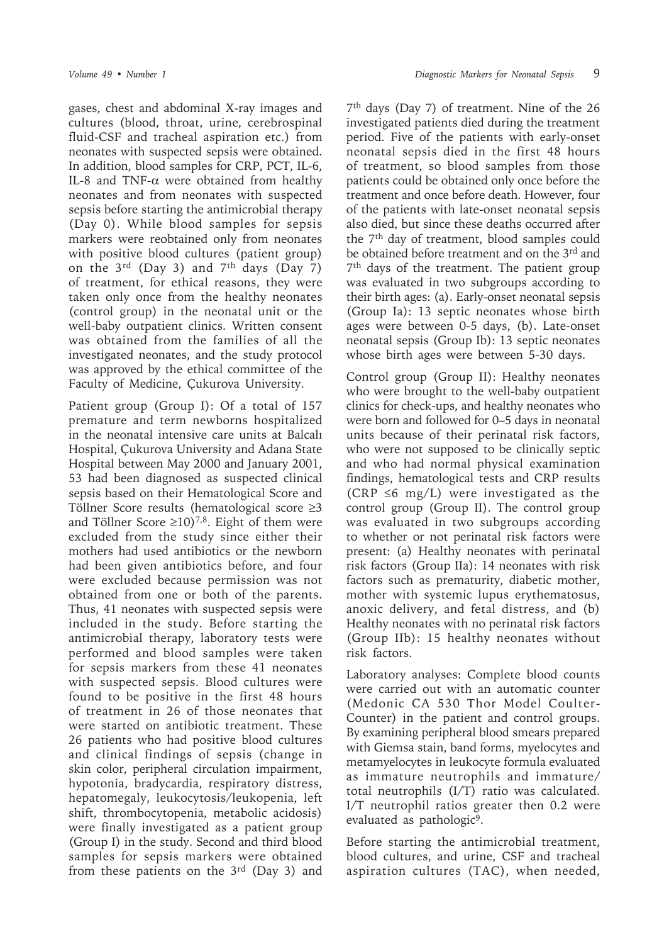gases, chest and abdominal X-ray images and cultures (blood, throat, urine, cerebrospinal fluid-CSF and tracheal aspiration etc.) from neonates with suspected sepsis were obtained. In addition, blood samples for CRP, PCT, IL-6, IL-8 and TNF- $\alpha$  were obtained from healthy neonates and from neonates with suspected sepsis before starting the antimicrobial therapy (Day 0). While blood samples for sepsis markers were reobtained only from neonates with positive blood cultures (patient group) on the  $3^{rd}$  (Day 3) and  $7^{th}$  days (Day 7) of treatment, for ethical reasons, they were taken only once from the healthy neonates (control group) in the neonatal unit or the well-baby outpatient clinics. Written consent was obtained from the families of all the investigated neonates, and the study protocol was approved by the ethical committee of the Faculty of Medicine, Çukurova University.

Patient group (Group I): Of a total of 157 premature and term newborns hospitalized in the neonatal intensive care units at Balcalı Hospital, Çukurova University and Adana State Hospital between May 2000 and January 2001, 53 had been diagnosed as suspected clinical sepsis based on their Hematological Score and Töllner Score results (hematological score ≥3 and Töllner Score ≥10)<sup>7,8</sup>. Eight of them were excluded from the study since either their mothers had used antibiotics or the newborn had been given antibiotics before, and four were excluded because permission was not obtained from one or both of the parents. Thus, 41 neonates with suspected sepsis were included in the study. Before starting the antimicrobial therapy, laboratory tests were performed and blood samples were taken for sepsis markers from these 41 neonates with suspected sepsis. Blood cultures were found to be positive in the first 48 hours of treatment in 26 of those neonates that were started on antibiotic treatment. These 26 patients who had positive blood cultures and clinical findings of sepsis (change in skin color, peripheral circulation impairment, hypotonia, bradycardia, respiratory distress, hepatomegaly, leukocytosis/leukopenia, left shift, thrombocytopenia, metabolic acidosis) were finally investigated as a patient group (Group I) in the study. Second and third blood samples for sepsis markers were obtained from these patients on the 3rd (Day 3) and

7th days (Day 7) of treatment. Nine of the 26 investigated patients died during the treatment period. Five of the patients with early-onset neonatal sepsis died in the first 48 hours of treatment, so blood samples from those patients could be obtained only once before the treatment and once before death. However, four of the patients with late-onset neonatal sepsis also died, but since these deaths occurred after the 7th day of treatment, blood samples could be obtained before treatment and on the 3rd and 7th days of the treatment. The patient group was evaluated in two subgroups according to their birth ages: (a). Early-onset neonatal sepsis (Group Ia): 13 septic neonates whose birth ages were between 0-5 days, (b). Late-onset neonatal sepsis (Group Ib): 13 septic neonates whose birth ages were between 5-30 days.

Control group (Group II): Healthy neonates who were brought to the well-baby outpatient clinics for check-ups, and healthy neonates who were born and followed for 0–5 days in neonatal units because of their perinatal risk factors, who were not supposed to be clinically septic and who had normal physical examination findings, hematological tests and CRP results (CRP  $\leq 6$  mg/L) were investigated as the control group (Group II). The control group was evaluated in two subgroups according to whether or not perinatal risk factors were present: (a) Healthy neonates with perinatal risk factors (Group IIa): 14 neonates with risk factors such as prematurity, diabetic mother, mother with systemic lupus erythematosus, anoxic delivery, and fetal distress, and (b) Healthy neonates with no perinatal risk factors (Group IIb): 15 healthy neonates without risk factors.

Laboratory analyses: Complete blood counts were carried out with an automatic counter (Medonic CA 530 Thor Model Coulter-Counter) in the patient and control groups. By examining peripheral blood smears prepared with Giemsa stain, band forms, myelocytes and metamyelocytes in leukocyte formula evaluated as immature neutrophils and immature/ total neutrophils (I/T) ratio was calculated. I/T neutrophil ratios greater then 0.2 were evaluated as pathologic<sup>9</sup>.

Before starting the antimicrobial treatment, blood cultures, and urine, CSF and tracheal aspiration cultures (TAC), when needed,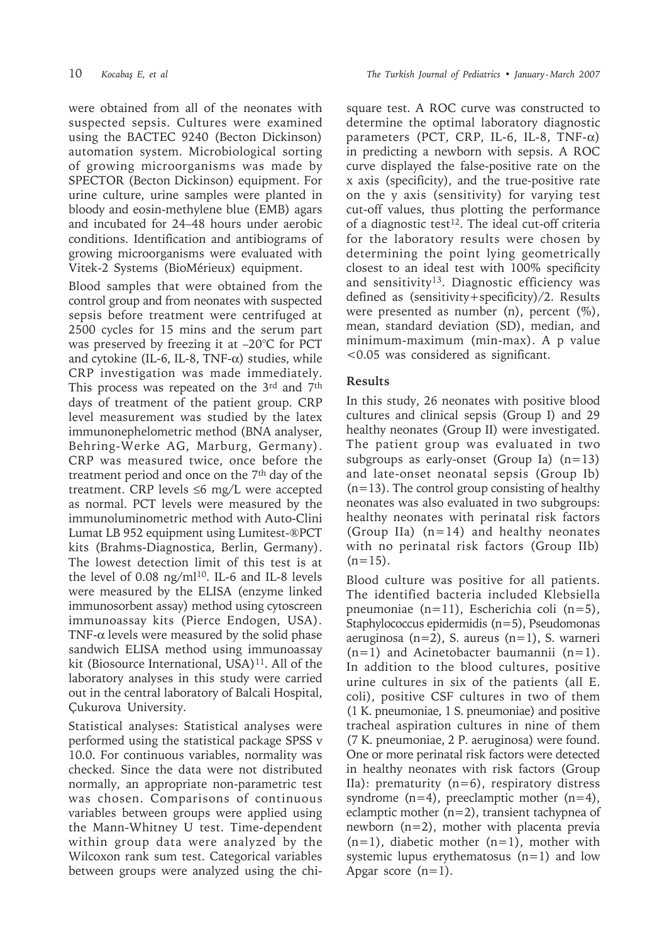were obtained from all of the neonates with suspected sepsis. Cultures were examined using the BACTEC 9240 (Becton Dickinson) automation system. Microbiological sorting of growing microorganisms was made by SPECTOR (Becton Dickinson) equipment. For urine culture, urine samples were planted in bloody and eosin-methylene blue (EMB) agars and incubated for 24–48 hours under aerobic conditions. Identification and antibiograms of growing microorganisms were evaluated with Vitek-2 Systems (BioMérieux) equipment.

Blood samples that were obtained from the control group and from neonates with suspected sepsis before treatment were centrifuged at 2500 cycles for 15 mins and the serum part was preserved by freezing it at –20°C for PCT and cytokine (IL-6, IL-8, TNF- $\alpha$ ) studies, while CRP investigation was made immediately. This process was repeated on the 3rd and 7th days of treatment of the patient group. CRP level measurement was studied by the latex immunonephelometric method (BNA analyser, Behring-Werke AG, Marburg, Germany). CRP was measured twice, once before the treatment period and once on the 7th day of the treatment. CRP levels ≤6 mg/L were accepted as normal. PCT levels were measured by the immunoluminometric method with Auto-Clini Lumat LB 952 equipment using Lumitest-®PCT kits (Brahms-Diagnostica, Berlin, Germany). The lowest detection limit of this test is at the level of 0.08 ng/m $1^{10}$ . IL-6 and IL-8 levels were measured by the ELISA (enzyme linked immunosorbent assay) method using cytoscreen immunoassay kits (Pierce Endogen, USA). TNF- $\alpha$  levels were measured by the solid phase sandwich ELISA method using immunoassay kit (Biosource International, USA)<sup>11</sup>. All of the laboratory analyses in this study were carried out in the central laboratory of Balcali Hospital, Çukurova University.

Statistical analyses: Statistical analyses were performed using the statistical package SPSS v 10.0. For continuous variables, normality was checked. Since the data were not distributed normally, an appropriate non-parametric test was chosen. Comparisons of continuous variables between groups were applied using the Mann-Whitney U test. Time-dependent within group data were analyzed by the Wilcoxon rank sum test. Categorical variables between groups were analyzed using the chisquare test. A ROC curve was constructed to determine the optimal laboratory diagnostic parameters (PCT, CRP, IL-6, IL-8, TNF- $\alpha$ ) in predicting a newborn with sepsis. A ROC curve displayed the false-positive rate on the x axis (specificity), and the true-positive rate on the y axis (sensitivity) for varying test cut-off values, thus plotting the performance of a diagnostic test<sup>12</sup>. The ideal cut-off criteria for the laboratory results were chosen by determining the point lying geometrically closest to an ideal test with 100% specificity and sensitivity<sup>13</sup>. Diagnostic efficiency was defined as (sensitivity+specificity)/2. Results were presented as number  $(n)$ , percent  $(\%)$ , mean, standard deviation (SD), median, and minimum-maximum (min-max). A p value <0.05 was considered as significant.

## **Results**

In this study, 26 neonates with positive blood cultures and clinical sepsis (Group I) and 29 healthy neonates (Group II) were investigated. The patient group was evaluated in two subgroups as early-onset (Group Ia)  $(n=13)$ and late-onset neonatal sepsis (Group Ib)  $(n=13)$ . The control group consisting of healthy neonates was also evaluated in two subgroups: healthy neonates with perinatal risk factors (Group IIa)  $(n=14)$  and healthy neonates with no perinatal risk factors (Group IIb)  $(n=15)$ .

Blood culture was positive for all patients. The identified bacteria included Klebsiella pneumoniae (n=11), Escherichia coli (n=5), Staphylococcus epidermidis (n=5), Pseudomonas aeruginosa (n=2), S. aureus (n=1), S. warneri  $(n=1)$  and Acinetobacter baumannii  $(n=1)$ . In addition to the blood cultures, positive urine cultures in six of the patients (all E. coli), positive CSF cultures in two of them (1 K. pneumoniae, 1 S. pneumoniae) and positive tracheal aspiration cultures in nine of them (7 K. pneumoniae, 2 P. aeruginosa) were found. One or more perinatal risk factors were detected in healthy neonates with risk factors (Group IIa): prematurity (n=6), respiratory distress syndrome  $(n=4)$ , preeclamptic mother  $(n=4)$ , eclamptic mother (n=2), transient tachypnea of newborn (n=2), mother with placenta previa  $(n=1)$ , diabetic mother  $(n=1)$ , mother with systemic lupus erythematosus  $(n=1)$  and low Apgar score  $(n=1)$ .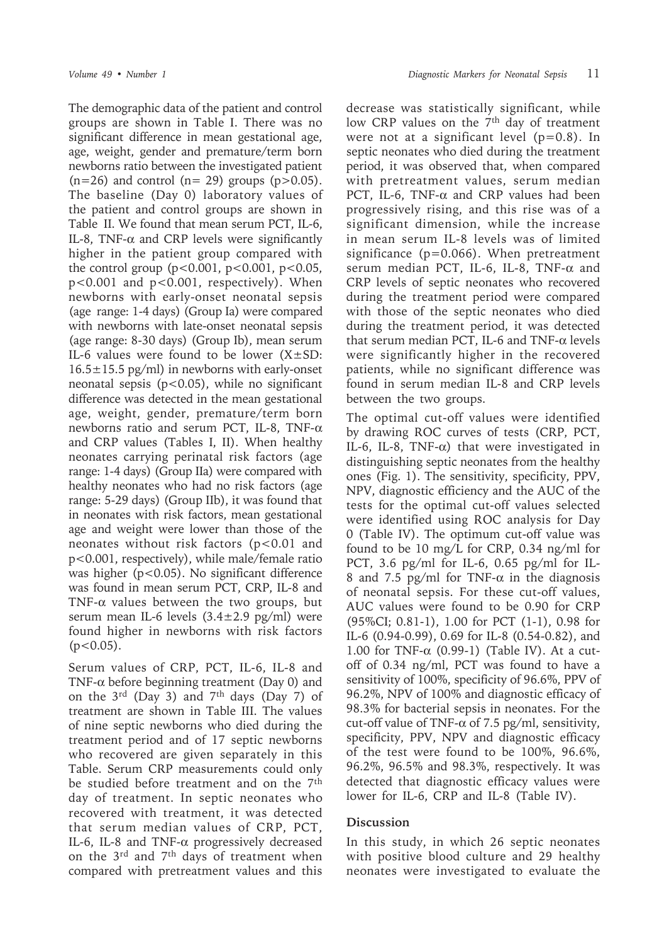The demographic data of the patient and control groups are shown in Table I. There was no significant difference in mean gestational age, age, weight, gender and premature/term born newborns ratio between the investigated patient  $(n=26)$  and control  $(n=29)$  groups  $(p>0.05)$ . The baseline (Day 0) laboratory values of the patient and control groups are shown in Table II. We found that mean serum PCT, IL-6, IL-8, TNF- $\alpha$  and CRP levels were significantly higher in the patient group compared with the control group  $(p<0.001, p<0.001, p<0.05,$ p<0.001 and p<0.001, respectively). When newborns with early-onset neonatal sepsis (age range: 1-4 days) (Group Ia) were compared with newborns with late-onset neonatal sepsis (age range: 8-30 days) (Group Ib), mean serum IL-6 values were found to be lower  $(X \pm SD)$ :  $16.5\pm15.5$  pg/ml) in newborns with early-onset neonatal sepsis ( $p$ <0.05), while no significant difference was detected in the mean gestational age, weight, gender, premature/term born newborns ratio and serum PCT, IL-8, TNF-α and CRP values (Tables I, II). When healthy neonates carrying perinatal risk factors (age range: 1-4 days) (Group IIa) were compared with healthy neonates who had no risk factors (age range: 5-29 days) (Group IIb), it was found that in neonates with risk factors, mean gestational age and weight were lower than those of the neonates without risk factors (p<0.01 and p<0.001, respectively), while male/female ratio was higher (p<0.05). No significant difference was found in mean serum PCT, CRP, IL-8 and TNF- $\alpha$  values between the two groups, but serum mean IL-6 levels  $(3.4 \pm 2.9 \text{ pg/ml})$  were found higher in newborns with risk factors  $(p<0.05)$ .

Serum values of CRP, PCT, IL-6, IL-8 and TNF- $\alpha$  before beginning treatment (Day 0) and on the  $3^{\text{rd}}$  (Day 3) and  $7^{\text{th}}$  days (Day 7) of treatment are shown in Table III. The values of nine septic newborns who died during the treatment period and of 17 septic newborns who recovered are given separately in this Table. Serum CRP measurements could only be studied before treatment and on the 7th day of treatment. In septic neonates who recovered with treatment, it was detected that serum median values of CRP, PCT, IL-6, IL-8 and TNF-α progressively decreased on the 3rd and 7th days of treatment when compared with pretreatment values and this decrease was statistically significant, while low CRP values on the 7<sup>th</sup> day of treatment were not at a significant level  $(p=0.8)$ . In septic neonates who died during the treatment period, it was observed that, when compared with pretreatment values, serum median PCT, IL-6, TNF-α and CRP values had been progressively rising, and this rise was of a significant dimension, while the increase in mean serum IL-8 levels was of limited significance ( $p=0.066$ ). When pretreatment serum median PCT, IL-6, IL-8, TNF-α and CRP levels of septic neonates who recovered during the treatment period were compared with those of the septic neonates who died during the treatment period, it was detected that serum median PCT, IL-6 and TNF- $\alpha$  levels were significantly higher in the recovered patients, while no significant difference was found in serum median IL-8 and CRP levels between the two groups.

The optimal cut-off values were identified by drawing ROC curves of tests (CRP, PCT, IL-6, IL-8, TNF- $\alpha$ ) that were investigated in distinguishing septic neonates from the healthy ones (Fig. 1). The sensitivity, specificity, PPV, NPV, diagnostic efficiency and the AUC of the tests for the optimal cut-off values selected were identified using ROC analysis for Day 0 (Table IV). The optimum cut-off value was found to be 10 mg/L for CRP, 0.34 ng/ml for PCT, 3.6 pg/ml for IL-6, 0.65 pg/ml for IL-8 and 7.5 pg/ml for TNF- $\alpha$  in the diagnosis of neonatal sepsis. For these cut-off values, AUC values were found to be 0.90 for CRP (95%CI; 0.81-1), 1.00 for PCT (1-1), 0.98 for IL-6 (0.94-0.99), 0.69 for IL-8 (0.54-0.82), and 1.00 for TNF- $\alpha$  (0.99-1) (Table IV). At a cutoff of 0.34 ng/ml, PCT was found to have a sensitivity of 100%, specificity of 96.6%, PPV of 96.2%, NPV of 100% and diagnostic efficacy of 98.3% for bacterial sepsis in neonates. For the cut-off value of TNF- $\alpha$  of 7.5 pg/ml, sensitivity, specificity, PPV, NPV and diagnostic efficacy of the test were found to be 100%, 96.6%, 96.2%, 96.5% and 98.3%, respectively. It was detected that diagnostic efficacy values were lower for IL-6, CRP and IL-8 (Table IV).

### **Discussion**

In this study, in which 26 septic neonates with positive blood culture and 29 healthy neonates were investigated to evaluate the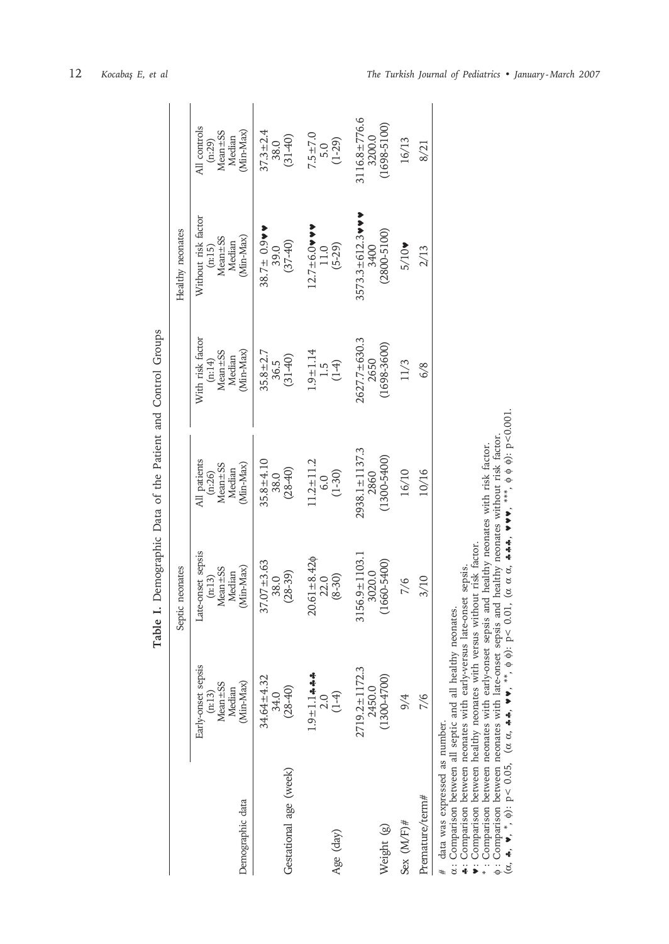|                                                                                                          |                                                                  | Septic neonates                                                       |                                                                      |                                                                     | Healthy neonates                                                |                                                                 |
|----------------------------------------------------------------------------------------------------------|------------------------------------------------------------------|-----------------------------------------------------------------------|----------------------------------------------------------------------|---------------------------------------------------------------------|-----------------------------------------------------------------|-----------------------------------------------------------------|
| Demographic data                                                                                         | Early-onset sepsis<br>Mean ± SS<br>(Min-Max)<br>Median<br>(n:13) | Late-onset sepsis<br>$(n:13)$<br>Mean $\pm$ SS<br>Median<br>(Min-Max) | All patients<br>(n:26)<br>Mean±SS<br>Median<br>Min-Max)<br>(Min-Max) | With risk factor<br>$(m:14)$<br>Mean $\pm$ SS<br>Median<br>Min-Max) | Without risk factor<br>(n:15)<br>Mean±SS<br>Median<br>(Min-Max) | All controls<br>$(n:29)$<br>Mean $\pm$ SS<br>Median<br>Min-Max) |
| Gestational age (week)                                                                                   | 34.64±4.32<br>$(28-40)$<br>34.0                                  | $37.07 + 3.63$<br>$\frac{38.0}{(28-39)}$                              | $35.8 \pm 4.10$<br>$38.0$<br>$(28-40)$                               | $35.8 \pm 2.7$<br>$36.5$<br>(31-40)                                 | $38.7 \pm 0.9$<br>39.0<br>(37-40)                               | $37.3 \pm 2.4$<br>$38.0$<br>$(31-40)$                           |
| Age (day)                                                                                                | $1.9 + 1.1 + 4.4$<br>$(1-4)$<br>2.0                              | $20.61 \pm 8.42$<br>$22.0$<br>$(8-30)$                                | $11.2 \pm 11.2$<br>6.0<br>(1-30)                                     | $1.9 \pm 1.14$<br>$1.5$<br>$(1-4)$                                  | $12.7 \pm 6.0$ w v<br>11.0<br>(5-29)                            | $7.5 \pm 7.0$<br>$5.0$<br>$(1-29)$                              |
| Weight (g)                                                                                               | $2719.2 \pm 1172.3$<br>$(1300 - 4700)$<br>2450.0                 | $3156.9 \pm 1103.1$<br>3020.0<br>(1660-5400)                          | $2938.1 \pm 1137.3$<br>1300-5400)<br>2860                            | 2627.7±630.3<br>1698-3600)<br>2650                                  | $3573.3 \pm 612.3$ v<br>2800-5100)<br>3400                      | $3116.8 \pm 776.6$<br>1698-5100)<br>3200.0                      |
| Sex $(M/F)$ #                                                                                            | 9/4                                                              | 7/6                                                                   | 16/10                                                                | 11/3                                                                | $5/10\n$                                                        | 16/13                                                           |
| Premature/term#                                                                                          | 7/6                                                              | 3/10                                                                  | 10/16                                                                | 6/8                                                                 | 2/13                                                            | 8/21                                                            |
| $\alpha$ : Comparison between all septic and all healthy neonates.<br>data was expressed as number.<br># |                                                                  |                                                                       |                                                                      |                                                                     |                                                                 |                                                                 |

Table I. Demographic Data of the Patient and Control Groups **Table I.** Demographic Data of the Patient and Control Groups

♣: Comparison between neonates with early-versus late-onset sepsis.

α\*φ♥: Comparison between healthy neonates with versus without risk factor. : Comparison between neonates with early-onset sepsis and healthy neonates with risk factor.

: Comparison between neonates with late-onset sepsis and healthy neonates without risk factor.

(α, ♣, ♥, \*, φ): p< 0.05, ( α ) 'IO'O >Δ :(Φ Φ \*\*, ' ▶▶ '' \# \# '' o'O α α α, ♣♣♣, ♥♥♥, \*\*\*, φ φ φ): p<0.001.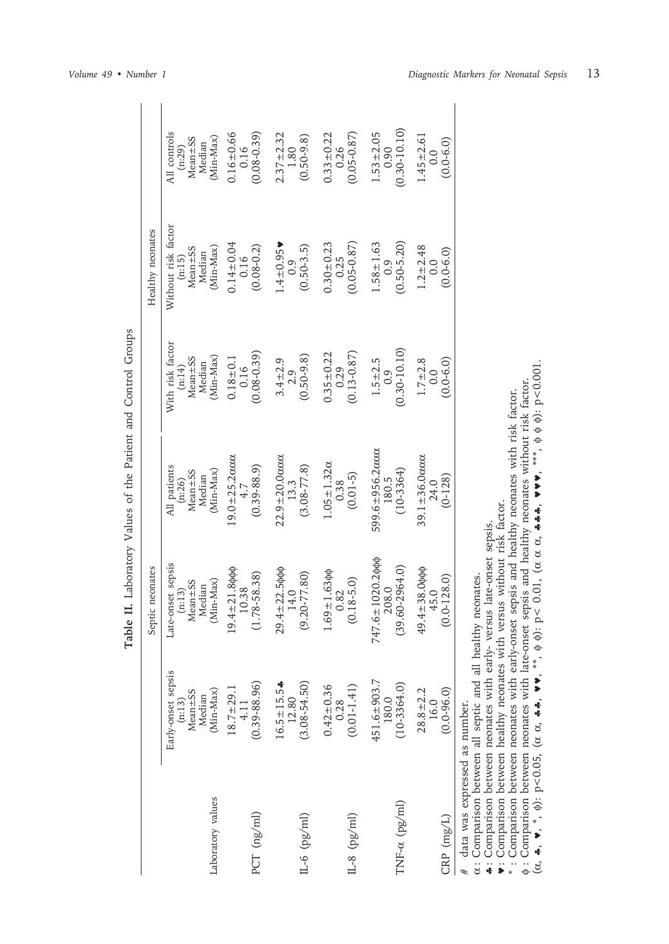|                                                                                                          |                                                                    | Septic neonates                                                   |                                                                           |                                                                    | Healthy neonates                                                        |                                                                  |
|----------------------------------------------------------------------------------------------------------|--------------------------------------------------------------------|-------------------------------------------------------------------|---------------------------------------------------------------------------|--------------------------------------------------------------------|-------------------------------------------------------------------------|------------------------------------------------------------------|
| Laboratory values                                                                                        | Early-onset sepsis<br>$Mean = SS$<br>(Min-Max)<br>Median<br>(n:13) | Late-onset sepsis<br>$Mean = SS$<br>(Min-Max)<br>Median<br>(n:13) | All patients<br>$(n:26)$<br>(Min-Max)<br>$Mean \pm SS$<br>Median          | With risk factor<br>$Mean \pm SS$<br>(Min-Max)<br>Median<br>(n:14) | Without risk factor<br>$(n:15)$<br>Mean $\pm$ SS<br>(Min-Max)<br>Median | All controls<br>$(n:29)$<br>Mean $\pm$ SS<br>(Min-Max)<br>Median |
| PCT (ng/ml)                                                                                              | $(0.39 - 88.96)$<br>$18.7 \pm 29.1$<br>4.11                        | $19.4 \pm 21.8$ φφφ<br>$10.38$<br>$(1.78 - 58.38)$                | $19.0 \pm 25.2$ and $4.7$<br>$(0.39 - 88.9)$                              | $(0.08 - 0.39)$<br>$0.18 + 0.1$<br>0.16                            | $0.14 \pm 0.04$<br>0.16<br>$(0.08 - 0.2)$                               | $0.16 \pm 0.66$<br>0.16<br>$(0.08 - 0.39)$                       |
| $(L-6 (pg/ml)$                                                                                           | $16.5 \pm 15.5$ *<br>$(3.08 - 54.50)$<br>12.80                     | $29.4 \pm 22.5$ φφφ<br>14.0<br>$(9.20 - 77.80)$                   | $22.9 \pm 20.0$ acco.<br>13.3<br>$(3.08 - 77.8)$                          | $(0.50 - 9.8)$<br>$3.4 + 2.9$<br>2.9                               | $1.4 \pm 0.95$<br>$(0.50 - 3.5)$<br>0.9                                 | $2.37 \pm 2.32$<br>1.80<br>$(0.50 - 9.8)$                        |
| $(L-8 (pg/ml)$                                                                                           | $(0.01 - 1.41)$<br>$0.42 + 0.36$<br>0.28                           | $1.69 \pm 1.63$ $\phi$<br>$(0.18 - 5.0)$<br>0.82                  | $1.05 \pm 1.32 \alpha$<br>$\begin{array}{c} 0.38 \\ (0.01-5) \end{array}$ | $(0.13 - 0.87)$<br>$0.35 \pm 0.22$<br>0.29                         | $(0.05 - 0.87)$<br>$0.30 \pm 0.23$<br>0.25                              | $(0.05 - 0.87)$<br>$0.33 \pm 0.22$<br>0.26                       |
| $TNF-\alpha$ (pg/ml)                                                                                     | 451.6±903.7<br>$(10 - 3364.0)$<br>180.0                            | $747.6 \pm 1020.2$ φφφ<br>$(39.60 - 2964.0)$<br>208.0             | 599.6±956.2ααα<br>180.5<br>$(10-3364)$                                    | $(0.30 - 10.10)$<br>$1.5 + 2.5$<br>0.9                             | $(0.50 - 5.20)$<br>$1.58 \pm 1.63$<br>0.9                               | $(0.30 - 10.10)$<br>$1.53 \pm 2.05$<br>0.90                      |
| $CRP$ (mg/L)                                                                                             | $28.8 \pm 2.2$<br>$(0.0 - 96.0)$<br>16.0                           | $49.4 \pm 38.0$ φφφ<br>$45.0$<br>$(0.0 - 128.0)$                  | $39.1 \pm 36.0$ acco 24.0<br>$(0-128)$                                    | $1.7 = 2.8$<br>$(0.0 - 6.0)$<br>0.0                                | $1.2 \pm 2.48$<br>0.0<br>$(0.0 - 6.0)$                                  | $1.45 \pm 2.61$<br>$(0.0 - 6.0)$<br>0.0                          |
| $\alpha$ : Comparison between all septic and all healthy neonates.<br>data was expressed as number.<br># |                                                                    |                                                                   |                                                                           |                                                                    |                                                                         |                                                                  |

| l<br>;<br>;<br>;<br>I<br>j |
|----------------------------|
| (                          |
| and                        |
| i<br>í<br>d<br>ļ           |
| rha<br>.<br>i              |
| $\ddot{\zeta}$<br>5        |
| )<br>}<br>I<br>j           |
|                            |
| i<br>ì                     |
| i<br>i<br>l                |

♣ : Comparison between neonates with early- versus late-onset sepsis. ♥ : Comparison between healthy neonates with versus without risk factor. \* : Comparison between neonates with early-onset sepsis and healthy neonates with risk factor.

φ : Comparison between neonates with late-onset sepsis and healthy neonates without risk factor.

 $(\alpha, \clubsuit, \blacktriangledown, \phi)$ : p<0.05, ( α ) '[0] > α, : (Φ Φ '\*\*, ' ▶ ▶ '\*\*, 'δ α α 100°0∨Δ;(ΦΦΦ°\*\*\*, ^♪♪ ^ \*\*\*\* ^\*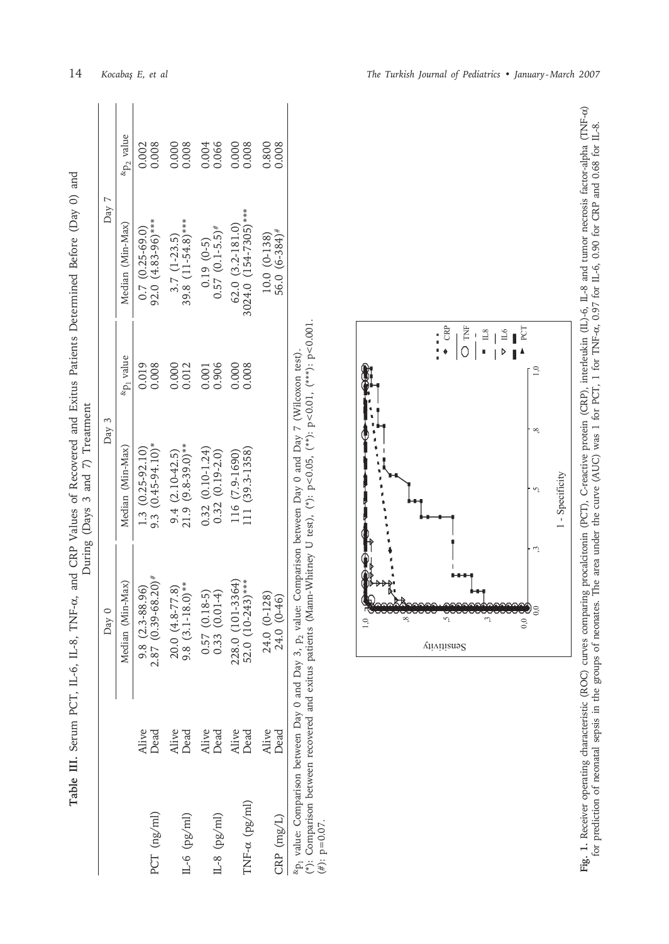|                      |               |                                                                                                                                     | During (Days 3 and 7) Treatment         |                       |                                                  |                       |  |
|----------------------|---------------|-------------------------------------------------------------------------------------------------------------------------------------|-----------------------------------------|-----------------------|--------------------------------------------------|-----------------------|--|
|                      |               | Day 0                                                                                                                               | Day 3                                   |                       | Day 7                                            |                       |  |
|                      |               | Median (Min-Max)                                                                                                                    | Median (Min-Max)                        | &p <sub>1</sub> value | Median (Min-Max)                                 | «p <sub>2</sub> value |  |
| PCT (ng/ml)          | Alive<br>Dead |                                                                                                                                     | $1.3$ (0.25-92.10)<br>9.3 (0.45-94.10)* | 0.019<br>0.008        | 92.0 $(4.83-96)$ ***<br>$0.7 (0.25 - 69.0)$      | 0.002<br>0.008        |  |
| $(L-6 (pg/ml)$       | Alive<br>Dead | 9.8 $(2.3-88.96)$<br>$2.87$ $(0.39-68.20)*$<br>$20.0$ $(4.8-77.8)$<br>$9.8$ $(3.1-18.0)*$<br>$0.57$ $(0.18-5)$<br>$0.57$ $(0.18-5)$ | $9.4$ (2.10-42.5)<br>21.9 (9.8-39.0)**  | 0.000<br>0.012        | $39.8$ $(11-54.8)***$<br>$3.7(1-23.5)$           | 0.000<br>0.008        |  |
| $IL-8 (pg/ml)$       | Alive<br>Dead |                                                                                                                                     | $0.32(0.10-1.24)$<br>$0.32(0.19-2.0)$   | 0.906<br>0.001        | $0.57$ $(0.1-5.5)*$<br>$0.19(0-5)$               | 0.066<br>0.004        |  |
| $INT-\alpha$ (pg/ml) | Alive<br>Dead | $228.0$ (101-3364)<br>52.0 (10-243)***                                                                                              | 111 (39.3-1358)<br>116 (7.9-1690)       | 0.000<br>0.008        | $3024.0$ $(154-7305)***$<br>$62.0 (3.2 - 181.0)$ | 0.008<br>0.000        |  |
| $CRP$ $(mg/L)$       | Alive<br>Dead | $24.0 (0-128)$<br>$24.0 (0-46)$                                                                                                     |                                         |                       | $56.0 (6-384)$ #<br>$10.0 (0 - 138)$             | 0.800<br>0.008        |  |
|                      |               |                                                                                                                                     |                                         |                       |                                                  |                       |  |

**Table III.** Serum PCT, IL-6, IL-8, TNF-

α, and CRP Values of Recovered and Exitus Patients Determined Before (Day 0) and

Table III. Serum PCT, IL-6, IL-8, TNF-a, and CRP Values of Recovered and Exitus Patients Determined Before (Day 0) and

| 5<br>こうし<br>l<br>$\tilde{\zeta}$<br>$\overline{\phantom{a}}$<br>25 | 【法决决】<br>- 「「水水」 「<br>ì                                                             |                    |
|--------------------------------------------------------------------|-------------------------------------------------------------------------------------|--------------------|
| $\sim$ $\sim$ $\sim$ $\sim$<br>Jay U and $Day 3$ .                 | ;<br>ļ<br>s<br>:<br>֞֩֟׆<br>֧֪֪֧֧֧֩֩֩֩֩֩֩֟֘֩֩֓֟֜֩֓֓֬֝֓֞֓֬֜֩֓֝֓֜֩֓<br>ered and exitt |                    |
| ֓                                                                  |                                                                                     | ļ<br>$\frac{1}{2}$ |



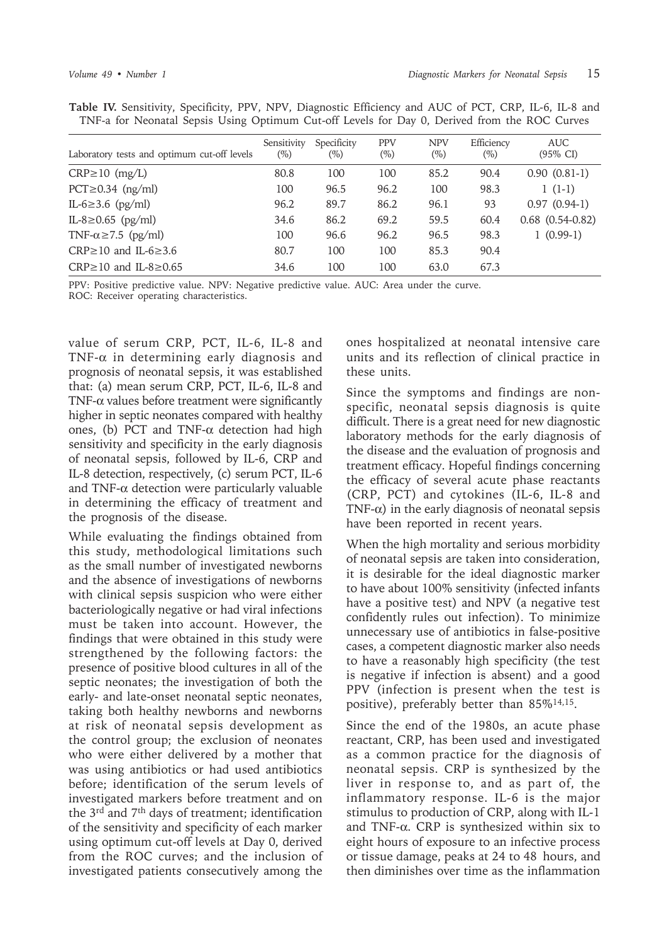| Table IV. Sensitivity, Specificity, PPV, NPV, Diagnostic Efficiency and AUC of PCT, CRP, IL-6, IL-8 and |  |  |  |  |  |
|---------------------------------------------------------------------------------------------------------|--|--|--|--|--|
| TNF-a for Neonatal Sepsis Using Optimum Cut-off Levels for Day 0, Derived from the ROC Curves           |  |  |  |  |  |

| Laboratory tests and optimum cut-off levels | Sensitivity<br>$(\%)$ | Specificity<br>$(\%)$ | <b>PPV</b><br>$(\%)$ | <b>NPV</b><br>$(\%)$ | Efficiency<br>$(\%)$ | <b>AUC</b><br>$(95\% \text{ CI})$ |
|---------------------------------------------|-----------------------|-----------------------|----------------------|----------------------|----------------------|-----------------------------------|
| $CRP \ge 10$ (mg/L)                         | 80.8                  | 100                   | 100                  | 85.2                 | 90.4                 | $0.90(0.81-1)$                    |
| $PCT \geq 0.34$ (ng/ml)                     | 100                   | 96.5                  | 96.2                 | 100                  | 98.3                 | $1(1-1)$                          |
| IL-6 $\geq$ 3.6 (pg/ml)                     | 96.2                  | 89.7                  | 86.2                 | 96.1                 | 93                   | $0.97(0.94-1)$                    |
| IL-8 $\geq$ 0.65 (pg/ml)                    | 34.6                  | 86.2                  | 69.2                 | 59.5                 | 60.4                 | $0.68$ $(0.54-0.82)$              |
| TNF- $\alpha \ge 7.5$ (pg/ml)               | 100                   | 96.6                  | 96.2                 | 96.5                 | 98.3                 | $1(0.99-1)$                       |
| CRP $\geq$ 10 and IL-6 $\geq$ 3.6           | 80.7                  | 100                   | 100                  | 85.3                 | 90.4                 |                                   |
| $CRP \ge 10$ and IL-8 $\ge 0.65$            | 34.6                  | 100                   | 100                  | 63.0                 | 67.3                 |                                   |

PPV: Positive predictive value. NPV: Negative predictive value. AUC: Area under the curve. ROC: Receiver operating characteristics.

value of serum CRP, PCT, IL-6, IL-8 and TNF-α in determining early diagnosis and prognosis of neonatal sepsis, it was established that: (a) mean serum CRP, PCT, IL-6, IL-8 and TNF-α values before treatment were significantly higher in septic neonates compared with healthy ones, (b) PCT and TNF- $\alpha$  detection had high sensitivity and specificity in the early diagnosis of neonatal sepsis, followed by IL-6, CRP and IL-8 detection, respectively, (c) serum PCT, IL-6 and TNF- $\alpha$  detection were particularly valuable in determining the efficacy of treatment and the prognosis of the disease.

While evaluating the findings obtained from this study, methodological limitations such as the small number of investigated newborns and the absence of investigations of newborns with clinical sepsis suspicion who were either bacteriologically negative or had viral infections must be taken into account. However, the findings that were obtained in this study were strengthened by the following factors: the presence of positive blood cultures in all of the septic neonates; the investigation of both the early- and late-onset neonatal septic neonates, taking both healthy newborns and newborns at risk of neonatal sepsis development as the control group; the exclusion of neonates who were either delivered by a mother that was using antibiotics or had used antibiotics before; identification of the serum levels of investigated markers before treatment and on the 3rd and 7th days of treatment; identification of the sensitivity and specificity of each marker using optimum cut-off levels at Day 0, derived from the ROC curves; and the inclusion of investigated patients consecutively among the

ones hospitalized at neonatal intensive care units and its reflection of clinical practice in these units.

Since the symptoms and findings are nonspecific, neonatal sepsis diagnosis is quite difficult. There is a great need for new diagnostic laboratory methods for the early diagnosis of the disease and the evaluation of prognosis and treatment efficacy. Hopeful findings concerning the efficacy of several acute phase reactants (CRP, PCT) and cytokines (IL-6, IL-8 and TNF- $\alpha$ ) in the early diagnosis of neonatal sepsis have been reported in recent years.

When the high mortality and serious morbidity of neonatal sepsis are taken into consideration, it is desirable for the ideal diagnostic marker to have about 100% sensitivity (infected infants have a positive test) and NPV (a negative test confidently rules out infection). To minimize unnecessary use of antibiotics in false-positive cases, a competent diagnostic marker also needs to have a reasonably high specificity (the test is negative if infection is absent) and a good PPV (infection is present when the test is positive), preferably better than 85%14,15.

Since the end of the 1980s, an acute phase reactant, CRP, has been used and investigated as a common practice for the diagnosis of neonatal sepsis. CRP is synthesized by the liver in response to, and as part of, the inflammatory response. IL-6 is the major stimulus to production of CRP, along with IL-1 and TNF-α. CRP is synthesized within six to eight hours of exposure to an infective process or tissue damage, peaks at 24 to 48 hours, and then diminishes over time as the inflammation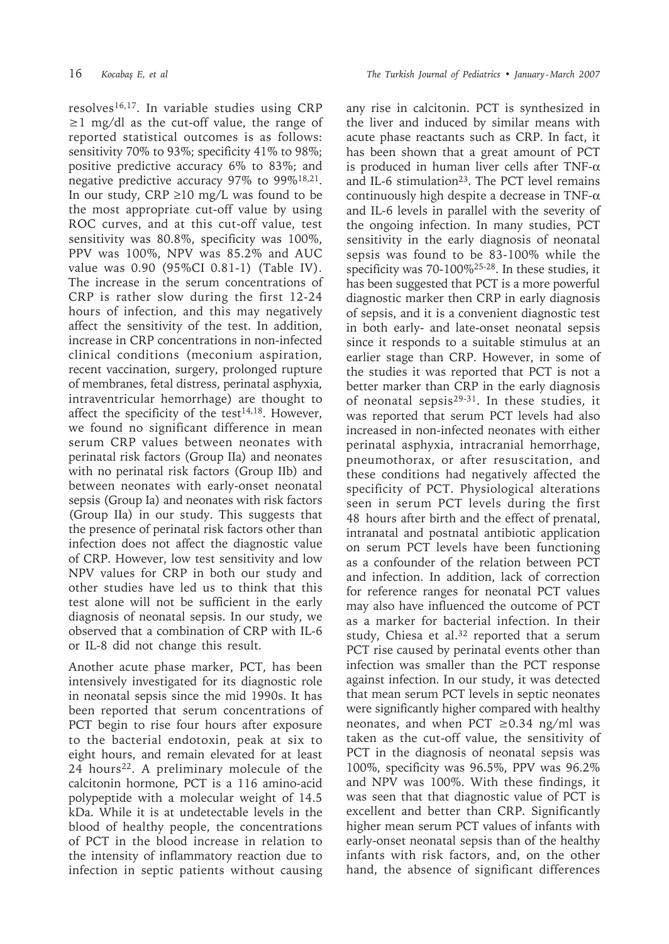resolves16,17. In variable studies using CRP ≥1 mg/dl as the cut-off value, the range of reported statistical outcomes is as follows: sensitivity 70% to 93%; specificity 41% to 98%; positive predictive accuracy 6% to 83%; and negative predictive accuracy 97% to 99%18,21. In our study,  $CRP \ge 10$  mg/L was found to be the most appropriate cut-off value by using ROC curves, and at this cut-off value, test sensitivity was 80.8%, specificity was 100%, PPV was 100%, NPV was 85.2% and AUC value was 0.90 (95%CI 0.81-1) (Table IV). The increase in the serum concentrations of CRP is rather slow during the first 12-24 hours of infection, and this may negatively affect the sensitivity of the test. In addition, increase in CRP concentrations in non-infected clinical conditions (meconium aspiration, recent vaccination, surgery, prolonged rupture of membranes, fetal distress, perinatal asphyxia, intraventricular hemorrhage) are thought to affect the specificity of the test $14,18$ . However, we found no significant difference in mean serum CRP values between neonates with perinatal risk factors (Group IIa) and neonates with no perinatal risk factors (Group IIb) and between neonates with early-onset neonatal sepsis (Group Ia) and neonates with risk factors (Group IIa) in our study. This suggests that the presence of perinatal risk factors other than infection does not affect the diagnostic value of CRP. However, low test sensitivity and low NPV values for CRP in both our study and other studies have led us to think that this test alone will not be sufficient in the early diagnosis of neonatal sepsis. In our study, we observed that a combination of CRP with IL-6 or IL-8 did not change this result.

Another acute phase marker, PCT, has been intensively investigated for its diagnostic role in neonatal sepsis since the mid 1990s. It has been reported that serum concentrations of PCT begin to rise four hours after exposure to the bacterial endotoxin, peak at six to eight hours, and remain elevated for at least 24 hours<sup>22</sup>. A preliminary molecule of the calcitonin hormone, PCT is a 116 amino-acid polypeptide with a molecular weight of 14.5 kDa. While it is at undetectable levels in the blood of healthy people, the concentrations of PCT in the blood increase in relation to the intensity of inflammatory reaction due to infection in septic patients without causing

any rise in calcitonin. PCT is synthesized in the liver and induced by similar means with acute phase reactants such as CRP. In fact, it has been shown that a great amount of PCT is produced in human liver cells after TNF- $\alpha$ and IL-6 stimulation<sup>23</sup>. The PCT level remains continuously high despite a decrease in TNF-α and IL-6 levels in parallel with the severity of the ongoing infection. In many studies, PCT sensitivity in the early diagnosis of neonatal sepsis was found to be 83-100% while the specificity was 70-100%25-28. In these studies, it has been suggested that PCT is a more powerful diagnostic marker then CRP in early diagnosis of sepsis, and it is a convenient diagnostic test in both early- and late-onset neonatal sepsis since it responds to a suitable stimulus at an earlier stage than CRP. However, in some of the studies it was reported that PCT is not a better marker than CRP in the early diagnosis of neonatal sepsis29-31. In these studies, it was reported that serum PCT levels had also increased in non-infected neonates with either perinatal asphyxia, intracranial hemorrhage, pneumothorax, or after resuscitation, and these conditions had negatively affected the specificity of PCT. Physiological alterations seen in serum PCT levels during the first 48 hours after birth and the effect of prenatal, intranatal and postnatal antibiotic application on serum PCT levels have been functioning as a confounder of the relation between PCT and infection. In addition, lack of correction for reference ranges for neonatal PCT values may also have influenced the outcome of PCT as a marker for bacterial infection. In their study, Chiesa et al.<sup>32</sup> reported that a serum PCT rise caused by perinatal events other than infection was smaller than the PCT response against infection. In our study, it was detected that mean serum PCT levels in septic neonates were significantly higher compared with healthy neonates, and when PCT  $\geq 0.34$  ng/ml was taken as the cut-off value, the sensitivity of PCT in the diagnosis of neonatal sepsis was 100%, specificity was 96.5%, PPV was 96.2% and NPV was 100%. With these findings, it was seen that that diagnostic value of PCT is excellent and better than CRP. Significantly higher mean serum PCT values of infants with early-onset neonatal sepsis than of the healthy infants with risk factors, and, on the other hand, the absence of significant differences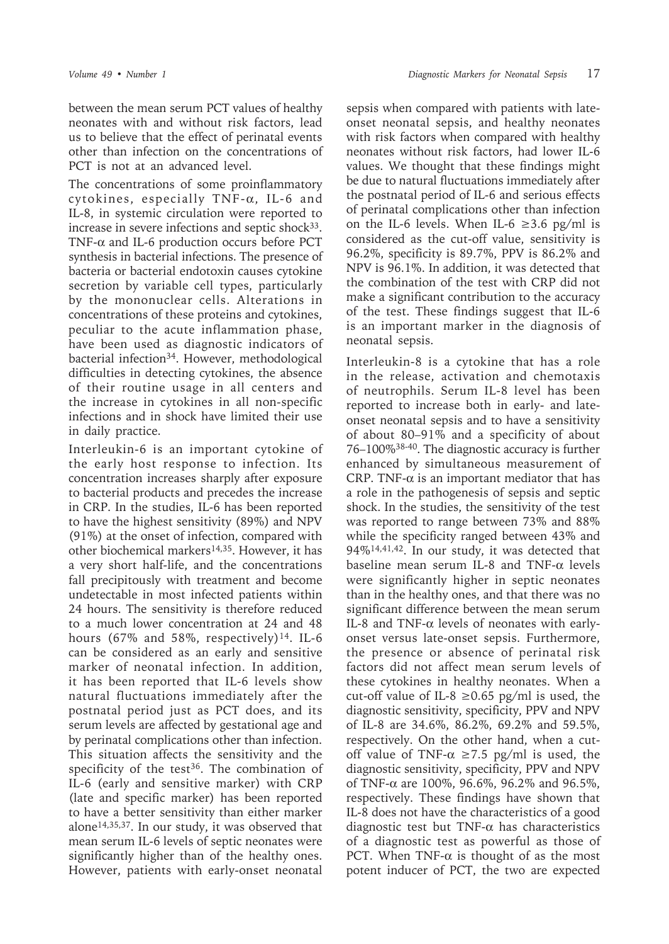*Volume 49 • Number 1 Diagnostic Markers for Neonatal Sepsis* 17

between the mean serum PCT values of healthy neonates with and without risk factors, lead us to believe that the effect of perinatal events other than infection on the concentrations of PCT is not at an advanced level.

The concentrations of some proinflammatory cytokines, especially TNF-α, IL-6 and IL-8, in systemic circulation were reported to increase in severe infections and septic shock<sup>33</sup>. TNF-α and IL-6 production occurs before PCT synthesis in bacterial infections. The presence of bacteria or bacterial endotoxin causes cytokine secretion by variable cell types, particularly by the mononuclear cells. Alterations in concentrations of these proteins and cytokines, peculiar to the acute inflammation phase, have been used as diagnostic indicators of bacterial infection<sup>34</sup>. However, methodological difficulties in detecting cytokines, the absence of their routine usage in all centers and the increase in cytokines in all non-specific infections and in shock have limited their use in daily practice.

Interleukin-6 is an important cytokine of the early host response to infection. Its concentration increases sharply after exposure to bacterial products and precedes the increase in CRP. In the studies, IL-6 has been reported to have the highest sensitivity (89%) and NPV (91%) at the onset of infection, compared with other biochemical markers14,35. However, it has a very short half-life, and the concentrations fall precipitously with treatment and become undetectable in most infected patients within 24 hours. The sensitivity is therefore reduced to a much lower concentration at 24 and 48 hours (67% and 58%, respectively)<sup>14</sup>. IL-6 can be considered as an early and sensitive marker of neonatal infection. In addition, it has been reported that IL-6 levels show natural fluctuations immediately after the postnatal period just as PCT does, and its serum levels are affected by gestational age and by perinatal complications other than infection. This situation affects the sensitivity and the specificity of the test<sup>36</sup>. The combination of IL-6 (early and sensitive marker) with CRP (late and specific marker) has been reported to have a better sensitivity than either marker alone14,35,37. In our study, it was observed that mean serum IL-6 levels of septic neonates were significantly higher than of the healthy ones. However, patients with early-onset neonatal

sepsis when compared with patients with lateonset neonatal sepsis, and healthy neonates with risk factors when compared with healthy neonates without risk factors, had lower IL-6 values. We thought that these findings might be due to natural fluctuations immediately after the postnatal period of IL-6 and serious effects of perinatal complications other than infection on the IL-6 levels. When IL-6  $\geq$ 3.6 pg/ml is considered as the cut-off value, sensitivity is 96.2%, specificity is 89.7%, PPV is 86.2% and NPV is 96.1%. In addition, it was detected that the combination of the test with CRP did not make a significant contribution to the accuracy of the test. These findings suggest that IL-6 is an important marker in the diagnosis of neonatal sepsis.

Interleukin-8 is a cytokine that has a role in the release, activation and chemotaxis of neutrophils. Serum IL-8 level has been reported to increase both in early- and lateonset neonatal sepsis and to have a sensitivity of about 80–91% and a specificity of about 76–100%38-40. The diagnostic accuracy is further enhanced by simultaneous measurement of CRP. TNF- $\alpha$  is an important mediator that has a role in the pathogenesis of sepsis and septic shock. In the studies, the sensitivity of the test was reported to range between 73% and 88% while the specificity ranged between 43% and 94%14,41,42. In our study, it was detected that baseline mean serum IL-8 and TNF-α levels were significantly higher in septic neonates than in the healthy ones, and that there was no significant difference between the mean serum IL-8 and TNF- $\alpha$  levels of neonates with earlyonset versus late-onset sepsis. Furthermore, the presence or absence of perinatal risk factors did not affect mean serum levels of these cytokines in healthy neonates. When a cut-off value of IL-8  $\geq$ 0.65 pg/ml is used, the diagnostic sensitivity, specificity, PPV and NPV of IL-8 are 34.6%, 86.2%, 69.2% and 59.5%, respectively. On the other hand, when a cutoff value of TNF- $\alpha \ge 7.5$  pg/ml is used, the diagnostic sensitivity, specificity, PPV and NPV of TNF-α are 100%, 96.6%, 96.2% and 96.5%, respectively. These findings have shown that IL-8 does not have the characteristics of a good diagnostic test but TNF- $\alpha$  has characteristics of a diagnostic test as powerful as those of PCT. When TNF- $\alpha$  is thought of as the most potent inducer of PCT, the two are expected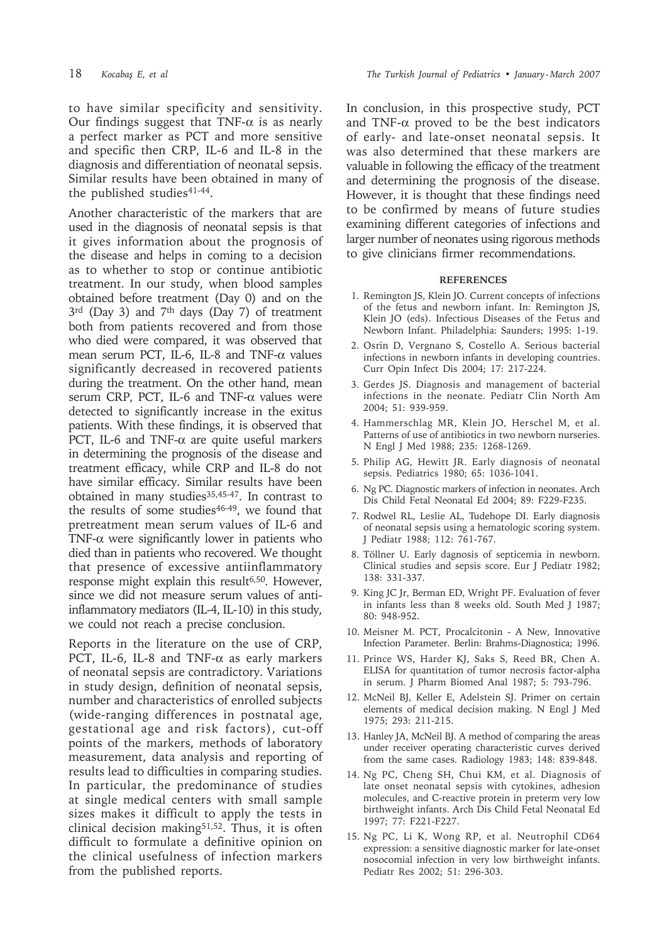to have similar specificity and sensitivity. Our findings suggest that TNF- $\alpha$  is as nearly a perfect marker as PCT and more sensitive and specific then CRP, IL-6 and IL-8 in the diagnosis and differentiation of neonatal sepsis. Similar results have been obtained in many of the published studies<sup>41-44</sup>.

Another characteristic of the markers that are used in the diagnosis of neonatal sepsis is that it gives information about the prognosis of the disease and helps in coming to a decision as to whether to stop or continue antibiotic treatment. In our study, when blood samples obtained before treatment (Day 0) and on the  $3<sup>rd</sup>$  (Day 3) and 7<sup>th</sup> days (Day 7) of treatment both from patients recovered and from those who died were compared, it was observed that mean serum PCT, IL-6, IL-8 and TNF-α values significantly decreased in recovered patients during the treatment. On the other hand, mean serum CRP, PCT, IL-6 and TNF- $\alpha$  values were detected to significantly increase in the exitus patients. With these findings, it is observed that PCT, IL-6 and TNF-α are quite useful markers in determining the prognosis of the disease and treatment efficacy, while CRP and IL-8 do not have similar efficacy. Similar results have been obtained in many studies<sup>35,45-47</sup>. In contrast to the results of some studies $46-49$ , we found that pretreatment mean serum values of IL-6 and TNF- $\alpha$  were significantly lower in patients who died than in patients who recovered. We thought that presence of excessive antiinflammatory response might explain this result<sup>6,50</sup>. However, since we did not measure serum values of antiinflammatory mediators (IL-4, IL-10) in this study, we could not reach a precise conclusion.

Reports in the literature on the use of CRP, PCT, IL-6, IL-8 and TNF- $\alpha$  as early markers of neonatal sepsis are contradictory. Variations in study design, definition of neonatal sepsis, number and characteristics of enrolled subjects (wide-ranging differences in postnatal age, gestational age and risk factors), cut-off points of the markers, methods of laboratory measurement, data analysis and reporting of results lead to difficulties in comparing studies. In particular, the predominance of studies at single medical centers with small sample sizes makes it difficult to apply the tests in clinical decision making $51,52$ . Thus, it is often difficult to formulate a definitive opinion on the clinical usefulness of infection markers from the published reports.

In conclusion, in this prospective study, PCT and TNF- $\alpha$  proved to be the best indicators of early- and late-onset neonatal sepsis. It was also determined that these markers are valuable in following the efficacy of the treatment and determining the prognosis of the disease. However, it is thought that these findings need to be confirmed by means of future studies examining different categories of infections and larger number of neonates using rigorous methods to give clinicians firmer recommendations.

#### **REFERENCES**

- 1. Remington JS, Klein JO. Current concepts of infections of the fetus and newborn infant. In: Remington JS, Klein JO (eds). Infectious Diseases of the Fetus and Newborn Infant. Philadelphia: Saunders; 1995: 1-19.
- 2. Osrin D, Vergnano S, Costello A. Serious bacterial infections in newborn infants in developing countries. Curr Opin Infect Dis 2004; 17: 217-224.
- 3. Gerdes JS. Diagnosis and management of bacterial infections in the neonate. Pediatr Clin North Am 2004; 51: 939-959.
- 4. Hammerschlag MR, Klein JO, Herschel M, et al. Patterns of use of antibiotics in two newborn nurseries. N Engl J Med 1988; 235: 1268-1269.
- 5. Philip AG, Hewitt JR. Early diagnosis of neonatal sepsis. Pediatrics 1980; 65: 1036-1041.
- 6. Ng PC. Diagnostic markers of infection in neonates. Arch Dis Child Fetal Neonatal Ed 2004; 89: F229-F235.
- 7. Rodwel RL, Leslie AL, Tudehope DI. Early diagnosis of neonatal sepsis using a hematologic scoring system. J Pediatr 1988; 112: 761-767.
- 8. Töllner U. Early dagnosis of septicemia in newborn. Clinical studies and sepsis score. Eur J Pediatr 1982; 138: 331-337.
- 9. King JC Jr, Berman ED, Wright PF. Evaluation of fever in infants less than 8 weeks old. South Med J 1987; 80: 948-952.
- 10. Meisner M. PCT, Procalcitonin A New, Innovative Infection Parameter. Berlin: Brahms-Diagnostica; 1996.
- 11. Prince WS, Harder KJ, Saks S, Reed BR, Chen A. ELISA for quantitation of tumor necrosis factor-alpha in serum. J Pharm Biomed Anal 1987; 5: 793-796.
- 12. McNeil BJ, Keller E, Adelstein SJ. Primer on certain elements of medical decision making. N Engl J Med 1975; 293: 211-215.
- 13. Hanley JA, McNeil BJ. A method of comparing the areas under receiver operating characteristic curves derived from the same cases. Radiology 1983; 148: 839-848.
- 14. Ng PC, Cheng SH, Chui KM, et al. Diagnosis of late onset neonatal sepsis with cytokines, adhesion molecules, and C-reactive protein in preterm very low birthweight infants. Arch Dis Child Fetal Neonatal Ed 1997; 77: F221-F227.
- 15. Ng PC, Li K, Wong RP, et al. Neutrophil CD64 expression: a sensitive diagnostic marker for late-onset nosocomial infection in very low birthweight infants. Pediatr Res 2002; 51: 296-303.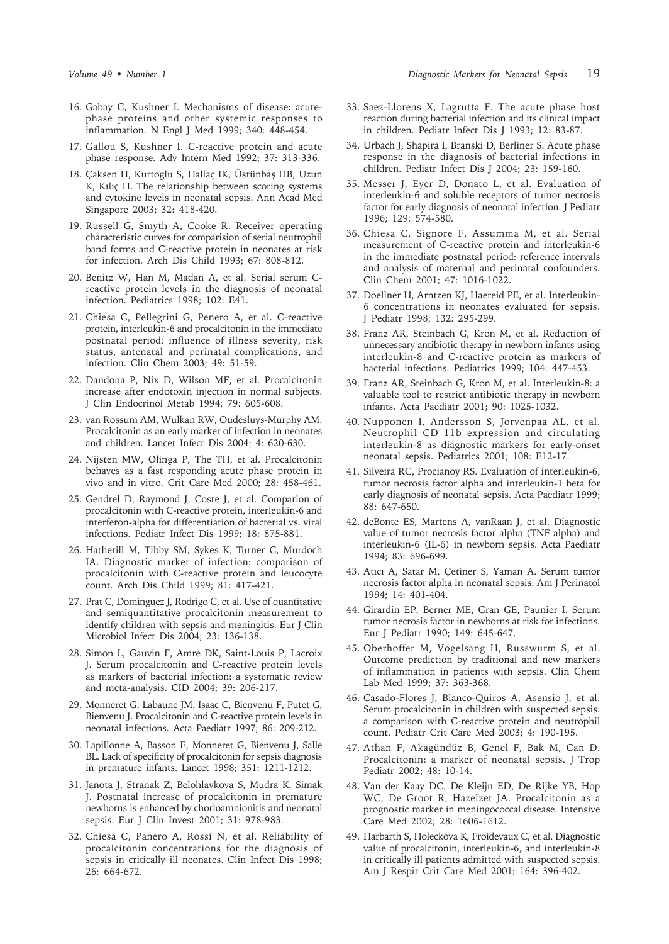- 16. Gabay C, Kushner I. Mechanisms of disease: acutephase proteins and other systemic responses to inflammation. N Engl J Med 1999; 340: 448-454.
- 17. Gallou S, Kushner I. C-reactive protein and acute phase response. Adv Intern Med 1992; 37: 313-336.
- 18. Çaksen H, Kurtoglu S, Hallaç IK, Üstünbaş HB, Uzun K, Kılıç H. The relationship between scoring systems and cytokine levels in neonatal sepsis. Ann Acad Med Singapore 2003; 32: 418-420.
- 19. Russell G, Smyth A, Cooke R. Receiver operating characteristic curves for comparision of serial neutrophil band forms and C-reactive protein in neonates at risk for infection. Arch Dis Child 1993; 67: 808-812.
- 20. Benitz W, Han M, Madan A, et al. Serial serum Creactive protein levels in the diagnosis of neonatal infection. Pediatrics 1998; 102: E41.
- 21. Chiesa C, Pellegrini G, Penero A, et al. C-reactive protein, interleukin-6 and procalcitonin in the immediate postnatal period: influence of illness severity, risk status, antenatal and perinatal complications, and infection. Clin Chem 2003; 49: 51-59.
- 22. Dandona P, Nix D, Wilson MF, et al. Procalcitonin increase after endotoxin injection in normal subjects. J Clin Endocrinol Metab 1994; 79: 605-608.
- 23. van Rossum AM, Wulkan RW, Oudesluys-Murphy AM. Procalcitonin as an early marker of infection in neonates and children. Lancet Infect Dis 2004; 4: 620-630.
- 24. Nijsten MW, Olinga P, The TH, et al. Procalcitonin behaves as a fast responding acute phase protein in vivo and in vitro. Crit Care Med 2000; 28: 458-461.
- 25. Gendrel D, Raymond J, Coste J, et al. Comparion of procalcitonin with C-reactive protein, interleukin-6 and interferon-alpha for differentiation of bacterial vs. viral infections. Pediatr Infect Dis 1999; 18: 875-881.
- 26. Hatherill M, Tibby SM, Sykes K, Turner C, Murdoch IA. Diagnostic marker of infection: comparison of procalcitonin with C-reactive protein and leucocyte count. Arch Dis Child 1999; 81: 417-421.
- 27. Prat C, Dominguez J, Rodrigo C, et al. Use of quantitative and semiquantitative procalcitonin measurement to identify children with sepsis and meningitis. Eur J Clin Microbiol Infect Dis 2004; 23: 136-138.
- 28. Simon L, Gauvin F, Amre DK, Saint-Louis P, Lacroix J. Serum procalcitonin and C-reactive protein levels as markers of bacterial infection: a systematic review and meta-analysis. CID 2004; 39: 206-217.
- 29. Monneret G, Labaune JM, Isaac C, Bienvenu F, Putet G, Bienvenu J. Procalcitonin and C-reactive protein levels in neonatal infections. Acta Paediatr 1997; 86: 209-212.
- 30. Lapillonne A, Basson E, Monneret G, Bienvenu J, Salle BL. Lack of specificity of procalcitonin for sepsis diagnosis in premature infants. Lancet 1998; 351: 1211-1212.
- 31. Janota J, Stranak Z, Belohlavkova S, Mudra K, Simak J. Postnatal increase of procalcitonin in premature newborns is enhanced by chorioamnionitis and neonatal sepsis. Eur J Clin Invest 2001; 31: 978-983.
- 32. Chiesa C, Panero A, Rossi N, et al. Reliability of procalcitonin concentrations for the diagnosis of sepsis in critically ill neonates. Clin Infect Dis 1998; 26: 664-672.
- 33. Saez-Llorens X, Lagrutta F. The acute phase host reaction during bacterial infection and its clinical impact in children. Pediatr Infect Dis J 1993; 12: 83-87.
- 34. Urbach J, Shapira I, Branski D, Berliner S. Acute phase response in the diagnosis of bacterial infections in children. Pediatr Infect Dis J 2004; 23: 159-160.
- 35. Messer J, Eyer D, Donato L, et al. Evaluation of interleukin-6 and soluble receptors of tumor necrosis factor for early diagnosis of neonatal infection. J Pediatr 1996; 129: 574-580.
- 36. Chiesa C, Signore F, Assumma M, et al. Serial measurement of C-reactive protein and interleukin-6 in the immediate postnatal period: reference intervals and analysis of maternal and perinatal confounders. Clin Chem 2001; 47: 1016-1022.
- 37. Doellner H, Arntzen KJ, Haereid PE, et al. Interleukin-6 concentrations in neonates evaluated for sepsis. J Pediatr 1998; 132: 295-299.
- 38. Franz AR, Steinbach G, Kron M, et al. Reduction of unnecessary antibiotic therapy in newborn infants using interleukin-8 and C-reactive protein as markers of bacterial infections. Pediatrics 1999; 104: 447-453.
- 39. Franz AR, Steinbach G, Kron M, et al. Interleukin-8: a valuable tool to restrict antibiotic therapy in newborn infants. Acta Paediatr 2001; 90: 1025-1032.
- 40. Nupponen I, Andersson S, Jorvenpaa AL, et al. Neutrophil CD 11b expression and circulating interleukin-8 as diagnostic markers for early-onset neonatal sepsis. Pediatrics 2001; 108: E12-17.
- 41. Silveira RC, Procianoy RS. Evaluation of interleukin-6, tumor necrosis factor alpha and interleukin-1 beta for early diagnosis of neonatal sepsis. Acta Paediatr 1999; 88: 647-650.
- 42. deBonte ES, Martens A, vanRaan J, et al. Diagnostic value of tumor necrosis factor alpha (TNF alpha) and interleukin-6 (IL-6) in newborn sepsis. Acta Paediatr 1994; 83: 696-699.
- 43. Atıcı A, Satar M, Çetiner S, Yaman A. Serum tumor necrosis factor alpha in neonatal sepsis. Am J Perinatol 1994; 14: 401-404.
- 44. Girardin EP, Berner ME, Gran GE, Paunier I. Serum tumor necrosis factor in newborns at risk for infections. Eur J Pediatr 1990; 149: 645-647.
- 45. Oberhoffer M, Vogelsang H, Russwurm S, et al. Outcome prediction by traditional and new markers of inflammation in patients with sepsis. Clin Chem Lab Med 1999; 37: 363-368.
- 46. Casado-Flores J, Blanco-Quiros A, Asensio J, et al. Serum procalcitonin in children with suspected sepsis: a comparison with C-reactive protein and neutrophil count. Pediatr Crit Care Med 2003; 4: 190-195.
- 47. Athan F, Akagündüz B, Genel F, Bak M, Can D. Procalcitonin: a marker of neonatal sepsis. J Trop Pediatr 2002; 48: 10-14.
- 48. Van der Kaay DC, De Kleijn ED, De Rijke YB, Hop WC, De Groot R, Hazelzet JA. Procalcitonin as a prognostic marker in meningococcal disease. Intensive Care Med 2002; 28: 1606-1612.
- 49. Harbarth S, Holeckova K, Froidevaux C, et al. Diagnostic value of procalcitonin, interleukin-6, and interleukin-8 in critically ill patients admitted with suspected sepsis. Am J Respir Crit Care Med 2001; 164: 396-402.